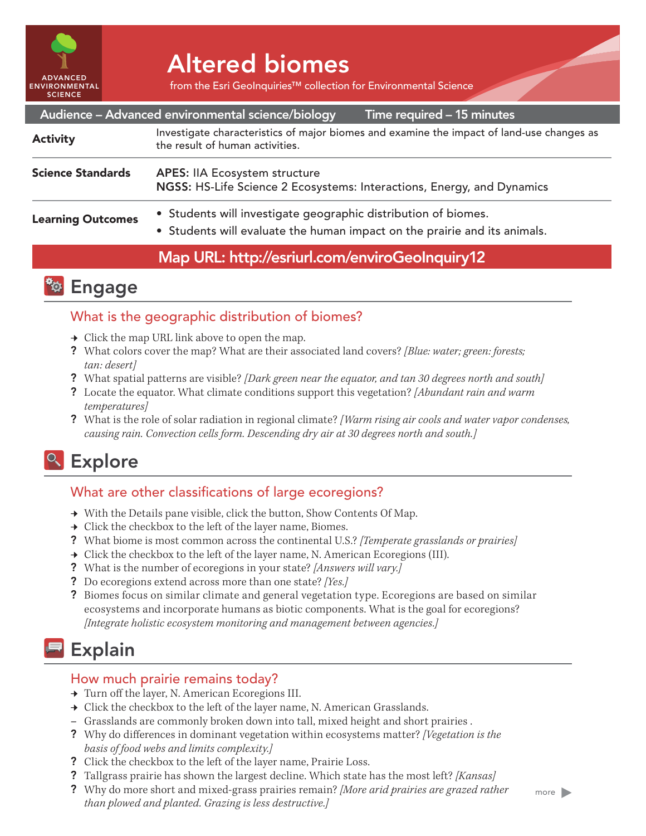

# Altered biomes

from the Esri GeoInquiries™ collection for Environmental Science

|                          | Audience - Advanced environmental science/biology<br>Time required - 15 minutes                                                             |
|--------------------------|---------------------------------------------------------------------------------------------------------------------------------------------|
| <b>Activity</b>          | Investigate characteristics of major biomes and examine the impact of land-use changes as<br>the result of human activities.                |
| <b>Science Standards</b> | <b>APES: IIA Ecosystem structure</b><br>NGSS: HS-Life Science 2 Ecosystems: Interactions, Energy, and Dynamics                              |
| <b>Learning Outcomes</b> | • Students will investigate geographic distribution of biomes.<br>• Students will evaluate the human impact on the prairie and its animals. |
|                          |                                                                                                                                             |

## Map URL: http://esriurl.com/enviroGeoInquiry12



## What is the geographic distribution of biomes?

- $\rightarrow$  Click the map URL link above to open the map.
- ? What colors cover the map? What are their associated land covers? *[Blue: water; green: forests; tan: desert]*
- ? What spatial patterns are visible? *[Dark green near the equator, and tan 30 degrees north and south]*
- ? Locate the equator. What climate conditions support this vegetation? *[Abundant rain and warm temperatures]*
- ? What is the role of solar radiation in regional climate? *[Warm rising air cools and water vapor condenses, causing rain. Convection cells form. Descending dry air at 30 degrees north and south.]*

# **&** Explore

## What are other classifications of large ecoregions?

- → With the Details pane visible, click the button, Show Contents Of Map.
- $\rightarrow$  Click the checkbox to the left of the layer name, Biomes.
- ? What biome is most common across the continental U.S.? *[Temperate grasslands or prairies]*
- $\rightarrow$  Click the checkbox to the left of the layer name, N. American Ecoregions (III).
- ? What is the number of ecoregions in your state? *[Answers will vary.]*
- ? Do ecoregions extend across more than one state? *[Yes.]*
- ? Biomes focus on similar climate and general vegetation type. Ecoregions are based on similar ecosystems and incorporate humans as biotic components. What is the goal for ecoregions? *[Integrate holistic ecosystem monitoring and management between agencies.]*

# **Explain**

## How much prairie remains today?

- ʅ Turn off the layer, N. American Ecoregions III.
- → Click the checkbox to the left of the layer name, N. American Grasslands.
- **–** Grasslands are commonly broken down into tall, mixed height and short prairies .
- ? Why do differences in dominant vegetation within ecosystems matter? *[Vegetation is the basis of food webs and limits complexity.]*
- ? Click the checkbox to the left of the layer name, Prairie Loss.
- ? Tallgrass prairie has shown the largest decline. Which state has the most left? *[Kansas]*
- ? Why do more short and mixed-grass prairies remain? *[More arid prairies are grazed rather than plowed and planted. Grazing is less destructive.]*